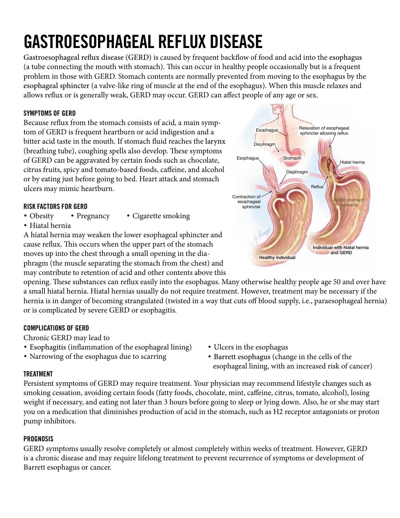## **GASTROESOPHAGEAL REFLUX DISEASE**

Gastroesophageal reflux disease (GERD) is caused by frequent backflow of food and acid into the esophagus Gastroesophageal reflux disease (GERD) is caused by frequent backflow of food and acid into the esophagus<br>(a tube connecting the mouth with stomach). This can occur in healthy people occasionally but is a frequent problem in those with GERD. Stomach contents are normally prevented from moving to the esophagus by the esophageal sphincter (a valve-like ring of muscle at the end of the esophagus). When this muscle relaxes and allows reflux or is generally weak, GERD may occur. GERD can affect people of any age or sex. esephagear spinners (a tarte mouth with storage at the end or the essephages). Their this masele real allows reflux or is generally weak, GERD may occur. GERD can affect people of any age or sex.  $\frac{1}{2}$  $\epsilon$ rally weak, GERD may occur. GERD can affect people of any age or sex.

#### **SYMPTOMS OF GERD**

on the state of the stomach consists of acid, a main symp-<br>Because reflux from the stomach consists of acid, a main symptom of GERD is frequent heartburn or acid indigestion and a bitter acid taste in the mouth. If stomach fluid reaches the larynx (breathing tube), coughing spells also develop. These symptoms of GERD can be aggravated by certain foods such as chocolate, citrus fruits, spicy and tomato-based foods, caffeine, and alcohol or by eating just before going to bed. Heart attack and stomach ulcers may mimic heartburn. rom the stomach consists of acid, a main symp-In the defining of the direct develops there is a simplem  $\omega$  define  $\omega$  bed  $\omega$ . The  $\alpha$  and  $\alpha$  and  $\alpha$  in  $\alpha$ 

#### RISK FACTORS FOR GERD

- Obesity Pregnancy Cigarette smoking • Pregnancy
- Hiatal hernia

A hiatal hernia may weaken the lower esophageal sphincter and cause reflux. This occurs when the upper part of the stomach moves up into the chest through a small opening in the diaphragm (the muscle separating the stomach from the chest) and may contribute to retention of acid and other contents above this inay weaken the lower esophageal spillituer all  $\sum$  STRUCK  $\frac{1}{2}$  in the die  $mg$  in the the

opening. These substances can reflux easily into the esophagus. Many otherwise healthy people age 50 and over have a small hiatal hernia. Hiatal hernias usually do not require treatment. However, treatment may be necessary if the hernia is in danger of becoming strangulated (twisted in a way that cuts off blood supply, i.e., paraesophageal hernia) or is complicated by severe GERD or esophagitis. ppiy, i.e., parat NECESSARY AND EATING NOT LATER THAN AND EATING THAN  $\sim$ ger of becoming strangulated (twisted in a way that cuts on ) **inhibitors** )F THE SYMPTOMS PERSIST ADDITIONAL DIAGNOSTIC PROCEDURES INCLUDE **upper** 

#### **COMPLICATIONS OF GERD endoscopy** EXAMINATION OF THE ESOPHAGUS AND STOMACH THROUGH A FLEXIBLE TUBE WITH A CAMERA OR **barium** RADIOLOGICAL CONTRAST SWALLOW TEST )N SOME CASES IT MAY BE NECESSARY

Chronic GERD may lead to **phononical TEST FOR STOMACH ACID** 

- Esophagitis (inflammation of the esophageal lining) Ulcers in the eso no the the throat throat the test and the test and the tests and the es
- Narrowing of the esophagus due to scarring Bar
- $\mathbf{u}$ s Go To To The 0.000  $\mathbf{u}$ • Ulcers in the esophagus
- Barrett esophagus (change in the cells of the -ANY AREA AVAILABLE IN ACTION esophageal lining, with an increased risk of cancer)

#### **TREATMENT**

weight if necessary, and eating not later than 3 hours before going to sleep or lying down. Also, he or she may start Gabriela D. Perazza, MS, Illustrator Intern Robert M. Goldsweiser Mag *and Kidney Diseases at the National Institutes of Health and the National Library of Medicine* you on a medication that diminishes production of acid in the stomach, such as H2 receptor antagonists or proton  $\tau$ Persistent symptoms of GERD may require treatment. Your physician may recommend lifestyle changes such as smoking cessation, avoiding certain foods (fatty foods, chocolate, mint, caffeine, citrus, tomato, alcohol), losing pump inhibitors.

#### **PROGNOSIS**

GERD symptoms usually resolve completely or almost completely within weeks of treatment. However, GERD is a chronic disease and may require lifelong treatment to prevent recurrence of symptoms or development of Barrett esophagus or cancer.

Reflux Hiatal hernia **Stomach** Diaphragm **Healthy individual** Diaphragm Esophagus Relaxation of esophageal sphincter allowing reflux idic stomac contents Esophagus Contraction of esophageal sphincter Individual with hiatal hernia and GERD esophagus). When this muscle relaxes and allows reflux or is generally weak,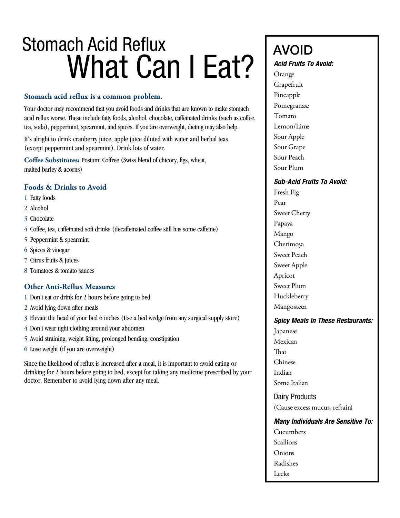# Stomach Acid Reflux Stomach Acid Reflux Swifted Religions and  $\frac{1}{\text{Avol}}$  and  $\frac{1}{\text{Avol}}$  and  $\frac{1}{\text{Avol}}$  and  $\frac{1}{\text{Avol}}$  and  $\frac{1}{\text{Avol}}$  and  $\frac{1}{\text{Avol}}$  and  $\frac{1}{\text{Avol}}$  and  $\frac{1}{\text{Avol}}$  and  $\frac{1}{\text{Avol}}$  and  $\frac{1}{\text{Avol}}$  and  $\frac{1}{\text{Avol}}$  and

#### **Stomach acid reflux is a common problem.**

Your doctor may recommend that you avoid foods and drinks that are known to make stomach acid reflux worse. These include fatty foods, alcohol, chocolate, caffeinated drinks (such as coffee, tea, soda), peppermint, spearmint, and spices. If you are overweight, dieting may also help.

It's alright to drink cranberry juice, apple juice diluted with water and herbal teas (except peppermint and spearmint). Drink lots of water.

**Coffee Substitutes:** Postum; Coffree (Swiss blend of chicory, figs, wheat, malted barley & acorns)

#### **Foods & Drinks to Avoid**

- 1 Fatty foods
- 2 Alcohol
- 3 Chocolate
- 4 Coffee, tea, caffeinated soft drinks (decaffeinated coffee still has some caffeine)
- 5 Peppermint & spearmint
- 6 Spices & vinegar
- 7 Citrus fruits & juices
- 8 Tomatoes & tomato sauces

#### **Other Anti-Reflux Measures**

- 1 Don't eat or drink for 2 hours before going to bed
- 2 Avoid lying down after meals
- 3 Elevate the head of your bed 6 inches (Use a bed wedge from any surgical supply store)
- 4 Don't wear tight clothing around your abdomen
- 5 Avoid straining, weight lifting, prolonged bending, constipation
- 6 Lose weight (if you are overweight)

Since the likelihood of reflux is increased after a meal, it is important to avoid eating or drinking for 2 hours before going to bed, except for taking any medicine prescribed by your doctor. Remember to avoid lying down after any meal.

### AVOID

#### Acid Fruits To Avoid: *Acid Fruits To Avoid:*

Orange Orange Grapefruit Grapefruit Pineapple Pineapple Pomegranate Pomegranate Tomato Tomato Lemon/Lime Lemon/Lime Sour Apple Sour Apple Sour Grape Sour Grape Sour Peach Sour Peach Sour Plum Sour Plum

#### Sub-Acid Fruits To Avoid: *Sub-Acid Fruits To Avoid:*

Fresh Fig Fresh Fig Pear Pear Sweet Cherry Sweet Cherry Papaya Papaya Mango Mango Cherimoya Cherimoya Sweet Peach Sweet Peach Sweet Apple Sweet Apple Apricot Apricot Sweet Plum Sweet Plum Huckleberry Huckleberry Mangosteen Mangosteen

### Spicy Meals In These Restaurants: *Spicy Meals In These Restaurants:*

Japanese Japanese Mexican Mexican Thai Chinese Chinese Indian Indian Some Italian Some Italian Dairy Products Dairy Products (Cause excess mucus, refrain) (Cause excess mucus, refrain) Many Individuals Are Sensitive To: *Many Individuals Are Sensitive To:* Cucumbers Cucumbers Scallions Scallions Onions Onions Radishes Radishes Leeks Leeks